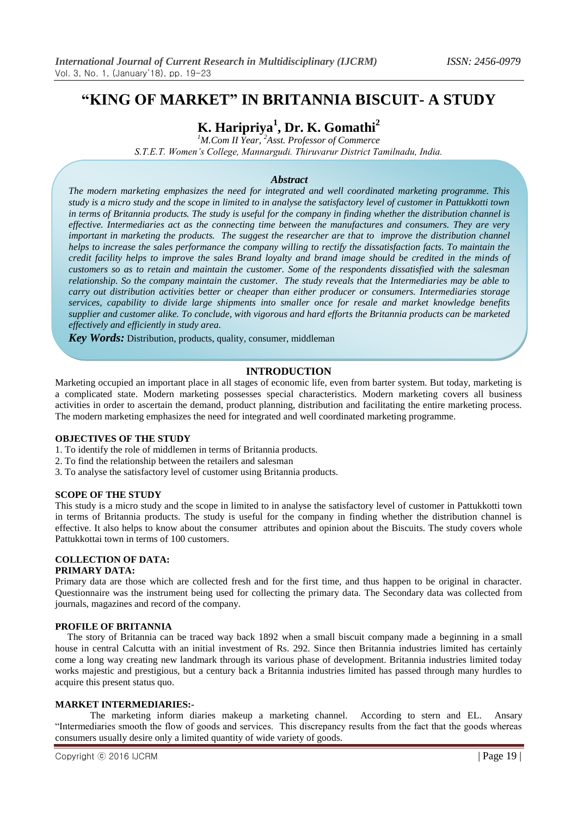# **"KING OF MARKET" IN BRITANNIA BISCUIT- A STUDY**

# **K. Haripriya<sup>1</sup> , Dr. K. Gomathi<sup>2</sup>**

*<sup>1</sup>M.Com II Year, <sup>2</sup>Asst. Professor of Commerce S.T.E.T. Women's College, Mannargudi. Thiruvarur District Tamilnadu, India.*

# *Abstract*

*The modern marketing emphasizes the need for integrated and well coordinated marketing programme. This study is a micro study and the scope in limited to in analyse the satisfactory level of customer in Pattukkotti town in terms of Britannia products. The study is useful for the company in finding whether the distribution channel is effective. Intermediaries act as the connecting time between the manufactures and consumers. They are very important in marketing the products. The suggest the researcher are that to improve the distribution channel helps to increase the sales performance the company willing to rectify the dissatisfaction facts. To maintain the credit facility helps to improve the sales Brand loyalty and brand image should be credited in the minds of customers so as to retain and maintain the customer. Some of the respondents dissatisfied with the salesman relationship. So the company maintain the customer. The study reveals that the Intermediaries may be able to carry out distribution activities better or cheaper than either producer or consumers. Intermediaries storage services, capability to divide large shipments into smaller once for resale and market knowledge benefits supplier and customer alike. To conclude, with vigorous and hard efforts the Britannia products can be marketed effectively and efficiently in study area.*

*Key Words:* Distribution, products, quality, consumer, middleman

#### **INTRODUCTION**

Marketing occupied an important place in all stages of economic life, even from barter system. But today, marketing is a complicated state. Modern marketing possesses special characteristics. Modern marketing covers all business activities in order to ascertain the demand, product planning, distribution and facilitating the entire marketing process. The modern marketing emphasizes the need for integrated and well coordinated marketing programme.

#### **OBJECTIVES OF THE STUDY**

- 1. To identify the role of middlemen in terms of Britannia products.
- 2. To find the relationship between the retailers and salesman
- 3. To analyse the satisfactory level of customer using Britannia products.

#### **SCOPE OF THE STUDY**

This study is a micro study and the scope in limited to in analyse the satisfactory level of customer in Pattukkotti town in terms of Britannia products. The study is useful for the company in finding whether the distribution channel is effective. It also helps to know about the consumer attributes and opinion about the Biscuits. The study covers whole Pattukkottai town in terms of 100 customers.

#### **COLLECTION OF DATA: PRIMARY DATA:**

Primary data are those which are collected fresh and for the first time, and thus happen to be original in character. Questionnaire was the instrument being used for collecting the primary data. The Secondary data was collected from journals, magazines and record of the company.

# **PROFILE OF BRITANNIA**

 The story of Britannia can be traced way back 1892 when a small biscuit company made a beginning in a small house in central Calcutta with an initial investment of Rs. 292. Since then Britannia industries limited has certainly come a long way creating new landmark through its various phase of development. Britannia industries limited today works majestic and prestigious, but a century back a Britannia industries limited has passed through many hurdles to acquire this present status quo.

# **MARKET INTERMEDIARIES:-**

The marketing inform diaries makeup a marketing channel. According to stern and EL. Ansary "Intermediaries smooth the flow of goods and services. This discrepancy results from the fact that the goods whereas consumers usually desire only a limited quantity of wide variety of goods.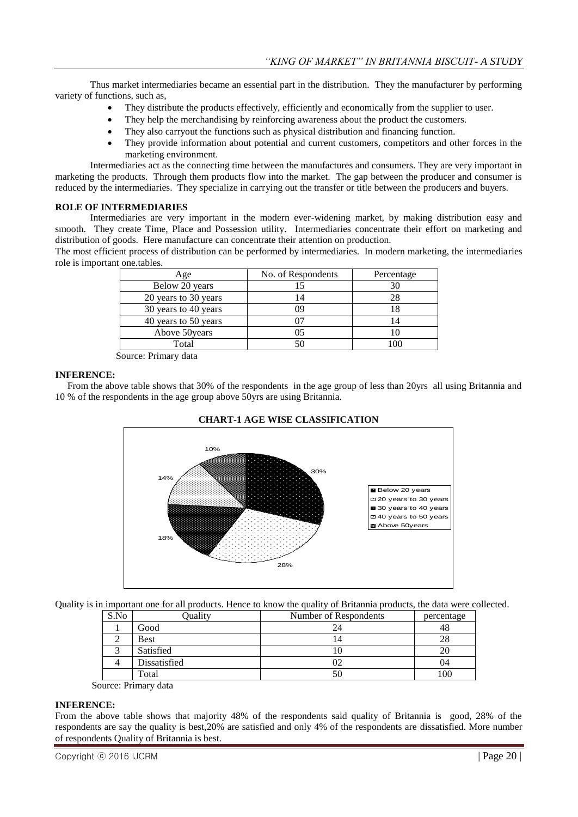Thus market intermediaries became an essential part in the distribution. They the manufacturer by performing variety of functions, such as,

- They distribute the products effectively, efficiently and economically from the supplier to user.
- They help the merchandising by reinforcing awareness about the product the customers.
- They also carryout the functions such as physical distribution and financing function.
- They provide information about potential and current customers, competitors and other forces in the marketing environment.

Intermediaries act as the connecting time between the manufactures and consumers. They are very important in marketing the products. Through them products flow into the market. The gap between the producer and consumer is reduced by the intermediaries. They specialize in carrying out the transfer or title between the producers and buyers.

#### **ROLE OF INTERMEDIARIES**

Intermediaries are very important in the modern ever-widening market, by making distribution easy and smooth. They create Time, Place and Possession utility. Intermediaries concentrate their effort on marketing and distribution of goods. Here manufacture can concentrate their attention on production.

The most efficient process of distribution can be performed by intermediaries. In modern marketing, the intermediaries role is important one.tables.

| Age                  | No. of Respondents | Percentage |
|----------------------|--------------------|------------|
| Below 20 years       |                    |            |
| 20 years to 30 years | 4                  | 28         |
| 30 years to 40 years | ገባ                 |            |
| 40 years to 50 years |                    |            |
| Above 50 years       |                    |            |
| Total                |                    |            |

Source: Primary data

#### **INFERENCE:**

 From the above table shows that 30% of the respondents in the age group of less than 20yrs all using Britannia and 10 % of the respondents in the age group above 50yrs are using Britannia.



#### **CHART-1 AGE WISE CLASSIFICATION**

Quality is in important one for all products. Hence to know the quality of Britannia products, the data were collected.

| S.No | Quality                                  | Number of Respondents | percentage |
|------|------------------------------------------|-----------------------|------------|
|      | Good                                     |                       | 48         |
|      | <b>Best</b>                              |                       | 28         |
|      | Satisfied                                |                       | 20         |
|      | Dissatisfied                             |                       | 04         |
|      | Total                                    | . J U                 | 100        |
|      | and a second model and a second contract |                       |            |

Source: Primary data

#### **INFERENCE:**

From the above table shows that majority 48% of the respondents said quality of Britannia is good, 28% of the respondents are say the quality is best,20% are satisfied and only 4% of the respondents are dissatisfied. More number of respondents Quality of Britannia is best.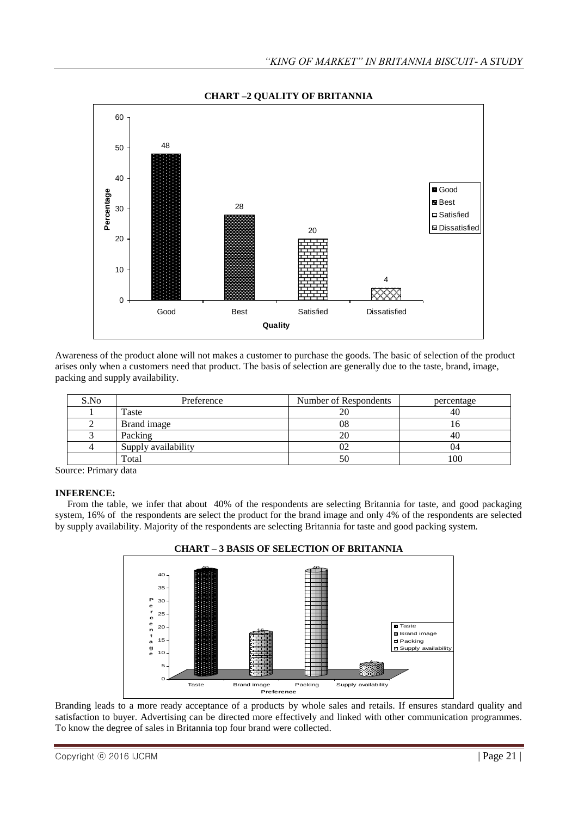

**CHART –2 QUALITY OF BRITANNIA**

Awareness of the product alone will not makes a customer to purchase the goods. The basic of selection of the product arises only when a customers need that product. The basis of selection are generally due to the taste, brand, image, packing and supply availability.

| S.No | Preference          | Number of Respondents | percentage |
|------|---------------------|-----------------------|------------|
|      | Taste               | 20                    | 40         |
|      | Brand image         | 08                    |            |
|      | Packing             |                       | 40         |
|      | Supply availability |                       | 14         |
|      | Total               | 50                    |            |

Source: Primary data

#### **INFERENCE:**

 From the table, we infer that about 40% of the respondents are selecting Britannia for taste, and good packaging system, 16% of the respondents are select the product for the brand image and only 4% of the respondents are selected by supply availability. Majority of the respondents are selecting Britannia for taste and good packing system.



Branding leads to a more ready acceptance of a products by whole sales and retails. If ensures standard quality and satisfaction to buyer. Advertising can be directed more effectively and linked with other communication programmes. To know the degree of sales in Britannia top four brand were collected.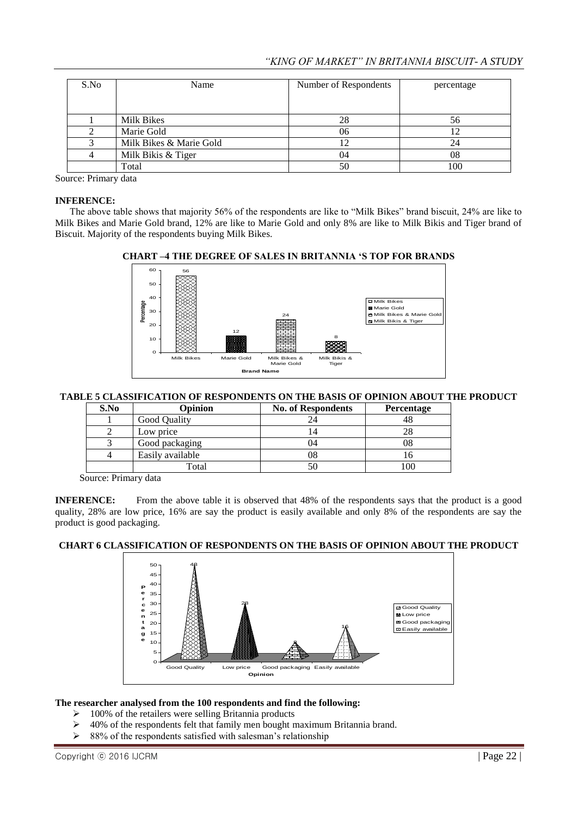| S.No | Name                    | Number of Respondents | percentage |
|------|-------------------------|-----------------------|------------|
|      |                         |                       |            |
|      | Milk Bikes              | 28                    | 56         |
|      | Marie Gold              | 06                    |            |
|      | Milk Bikes & Marie Gold |                       | 24         |
|      | Milk Bikis & Tiger      | 04                    | 08         |
|      | Total                   |                       | 100        |

Source: Primary data

#### **INFERENCE:**

 The above table shows that majority 56% of the respondents are like to "Milk Bikes" brand biscuit, 24% are like to Milk Bikes and Marie Gold brand, 12% are like to Marie Gold and only 8% are like to Milk Bikis and Tiger brand of Biscuit. Majority of the respondents buying Milk Bikes.



#### **CHART –4 THE DEGREE OF SALES IN BRITANNIA "S TOP FOR BRANDS**

# **TABLE 5 CLASSIFICATION OF RESPONDENTS ON THE BASIS OF OPINION ABOUT THE PRODUCT**

| S.No | Opinion          | <b>No. of Respondents</b> | <b>Percentage</b> |
|------|------------------|---------------------------|-------------------|
|      | Good Quality     | 24                        |                   |
|      | Low price        |                           |                   |
|      | Good packaging   | 04                        | 08                |
|      | Easily available | 08                        | I O               |
|      | Total            | 50                        | .00               |

Source: Primary data

**INFERENCE:** From the above table it is observed that 48% of the respondents says that the product is a good quality, 28% are low price, 16% are say the product is easily available and only 8% of the respondents are say the product is good packaging.

# **CHART 6 CLASSIFICATION OF RESPONDENTS ON THE BASIS OF OPINION ABOUT THE PRODUCT**



#### **The researcher analysed from the 100 respondents and find the following:**

- $\geq 100\%$  of the retailers were selling Britannia products
- > 40% of the respondents felt that family men bought maximum Britannia brand.
- $\geq$  88% of the respondents satisfied with salesman's relationship